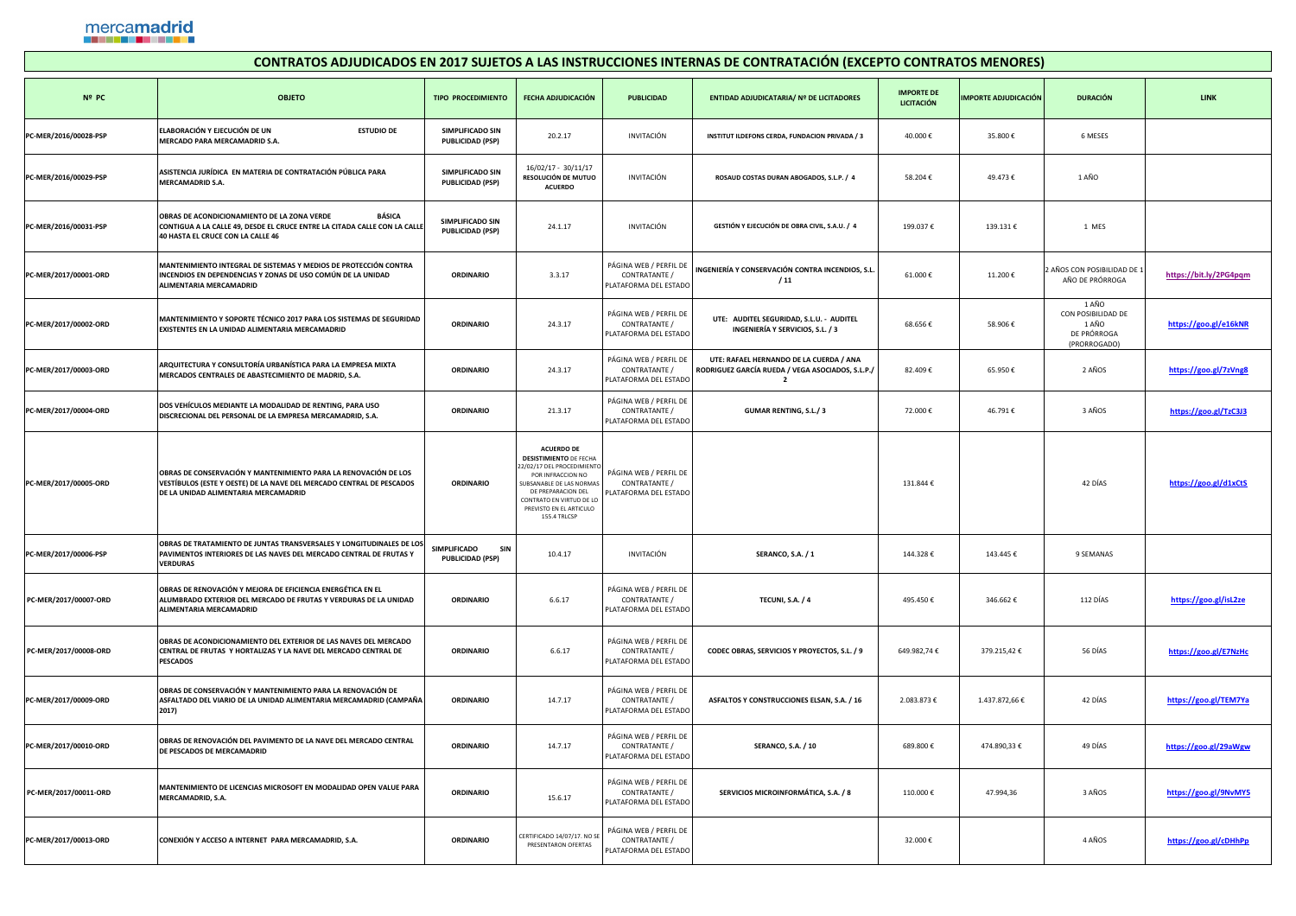## mercamadrid

| CONTRATOS ADJUDICADOS EN 2017 SUJETOS A LAS INSTRUCCIONES INTERNAS DE CONTRATACIÓN (EXCEPTO CONTRATOS MENORES) |                                                                                                                                                                                       |                                                              |                                                                                                                                                                                                                                |                                                                  |                                                                                               |                                 |                             |                                                                     |                        |  |  |
|----------------------------------------------------------------------------------------------------------------|---------------------------------------------------------------------------------------------------------------------------------------------------------------------------------------|--------------------------------------------------------------|--------------------------------------------------------------------------------------------------------------------------------------------------------------------------------------------------------------------------------|------------------------------------------------------------------|-----------------------------------------------------------------------------------------------|---------------------------------|-----------------------------|---------------------------------------------------------------------|------------------------|--|--|
| Nº PC                                                                                                          | <b>OBJETO</b>                                                                                                                                                                         | <b>TIPO PROCEDIMIENTO</b>                                    | <b>FECHA ADJUDICACIÓN</b>                                                                                                                                                                                                      | <b>PUBLICIDAD</b>                                                | <b>ENTIDAD ADJUDICATARIA/ Nº DE LICITADORES</b>                                               | <b>IMPORTE DE</b><br>LICITACIÓN | <b>IMPORTE ADJUDICACIÓN</b> | <b>DURACIÓN</b>                                                     | <b>LINK</b>            |  |  |
| PC-MER/2016/00028-PSP                                                                                          | ELABORACIÓN Y EJECUCIÓN DE UN<br><b>ESTUDIO DE</b><br>MERCADO PARA MERCAMADRID S.A.                                                                                                   | <b>SIMPLIFICADO SIN</b><br><b>PUBLICIDAD (PSP)</b>           | 20.2.17                                                                                                                                                                                                                        | INVITACIÓN                                                       | <b>INSTITUT ILDEFONS CERDA, FUNDACION PRIVADA / 3</b>                                         | 40.000€                         | 35.800€                     | 6 MESES                                                             |                        |  |  |
| PC-MER/2016/00029-PSP                                                                                          | ASISTENCIA JURÍDICA EN MATERIA DE CONTRATACIÓN PÚBLICA PARA<br>MERCAMADRID S.A.                                                                                                       | <b>SIMPLIFICADO SIN</b><br><b>PUBLICIDAD (PSP)</b>           | $16/02/17 - 30/11/17$<br>RESOLUCIÓN DE MUTUO<br><b>ACUERDO</b>                                                                                                                                                                 | INVITACIÓN                                                       | ROSAUD COSTAS DURAN ABOGADOS, S.L.P. / 4                                                      | 58.204€                         | 49.473€                     | 1 AÑO                                                               |                        |  |  |
| PC-MER/2016/00031-PSP                                                                                          | <b>BÁSICA</b><br><b>OBRAS DE ACONDICIONAMIENTO DE LA ZONA VERDE</b><br>CONTIGUA A LA CALLE 49, DESDE EL CRUCE ENTRE LA CITADA CALLE CON LA CALLE<br>40 HASTA EL CRUCE CON LA CALLE 46 | <b>SIMPLIFICADO SIN</b><br><b>PUBLICIDAD (PSP)</b>           | 24.1.17                                                                                                                                                                                                                        | INVITACIÓN                                                       | GESTIÓN Y EJECUCIÓN DE OBRA CIVIL, S.A.U. / 4                                                 | 199.037€                        | 139.131€                    | 1 MES                                                               |                        |  |  |
| PC-MER/2017/00001-ORD                                                                                          | MANTENIMIENTO INTEGRAL DE SISTEMAS Y MEDIOS DE PROTECCIÓN CONTRA<br>INCENDIOS EN DEPENDENCIAS Y ZONAS DE USO COMÚN DE LA UNIDAD<br><b>ALIMENTARIA MERCAMADRID</b>                     | <b>ORDINARIO</b>                                             | 3.3.17                                                                                                                                                                                                                         | PÁGINA WEB / PERFIL DE<br>CONTRATANTE /<br>PLATAFORMA DEL ESTADO | INGENIERÍA Y CONSERVACIÓN CONTRA INCENDIOS, S.L.<br>/11                                       | 61.000€                         | 11.200€                     | 2 AÑOS CON POSIBILIDAD DE<br>AÑO DE PRÓRROGA                        | https://bit.ly/2PG4pqm |  |  |
| PC-MER/2017/00002-ORD                                                                                          | MANTENIMIENTO Y SOPORTE TÉCNICO 2017 PARA LOS SISTEMAS DE SEGURIDAD<br><b>EXISTENTES EN LA UNIDAD ALIMENTARIA MERCAMADRID</b>                                                         | <b>ORDINARIO</b>                                             | 24.3.17                                                                                                                                                                                                                        | PÁGINA WEB / PERFIL DE<br>CONTRATANTE /<br>PLATAFORMA DEL ESTADO | UTE: AUDITEL SEGURIDAD, S.L.U. - AUDITEL<br><b>INGENIERÍA Y SERVICIOS, S.L. / 3</b>           | 68.656€                         | 58.906€                     | 1 AÑO<br>CON POSIBILIDAD DE<br>1 AÑO<br>DE PRÓRROGA<br>(PRORROGADO) | https://goo.gl/e16kNR  |  |  |
| PC-MER/2017/00003-ORD                                                                                          | ARQUITECTURA Y CONSULTORÍA URBANÍSTICA PARA LA EMPRESA MIXTA<br>MERCADOS CENTRALES DE ABASTECIMIENTO DE MADRID, S.A.                                                                  | <b>ORDINARIO</b>                                             | 24.3.17                                                                                                                                                                                                                        | PÁGINA WEB / PERFIL DE<br>CONTRATANTE /<br>PLATAFORMA DEL ESTADO | UTE: RAFAEL HERNANDO DE LA CUERDA / ANA<br>  RODRIGUEZ GARCÍA RUEDA / VEGA ASOCIADOS, S.L.P./ | 82.409€                         | 65.950€                     | 2 AÑOS                                                              | https://goo.gl/7zVng8  |  |  |
| PC-MER/2017/00004-ORD                                                                                          | DOS VEHÍCULOS MEDIANTE LA MODALIDAD DE RENTING, PARA USO<br>DISCRECIONAL DEL PERSONAL DE LA EMPRESA MERCAMADRID, S.A.                                                                 | <b>ORDINARIO</b>                                             | 21.3.17                                                                                                                                                                                                                        | PÁGINA WEB / PERFIL DE<br>CONTRATANTE /<br>PLATAFORMA DEL ESTADO | <b>GUMAR RENTING, S.L./ 3</b>                                                                 | 72.000€                         | 46.791€                     | 3 AÑOS                                                              | https://goo.gl/TzC3J3  |  |  |
| PC-MER/2017/00005-ORD                                                                                          | OBRAS DE CONSERVACIÓN Y MANTENIMIENTO PARA LA RENOVACIÓN DE LOS<br>VESTÍBULOS (ESTE Y OESTE) DE LA NAVE DEL MERCADO CENTRAL DE PESCADOS<br>DE LA UNIDAD ALIMENTARIA MERCAMADRID       | <b>ORDINARIO</b>                                             | <b>ACUERDO DE</b><br><b>DESISTIMIENTO DE FECHA</b><br>22/02/17 DEL PROCEDIMIENTO<br>POR INFRACCION NO<br>SUBSANABLE DE LAS NORMAS<br>DE PREPARACION DEL<br>CONTRATO EN VIRTUD DE LO<br>PREVISTO EN EL ARTICULO<br>155.4 TRLCSP | PÁGINA WEB / PERFIL DE<br>CONTRATANTE /<br>PLATAFORMA DEL ESTADO |                                                                                               | 131.844€                        |                             | 42 DÍAS                                                             | https://goo.gl/d1xCtS  |  |  |
| PC-MER/2017/00006-PSP                                                                                          | OBRAS DE TRATAMIENTO DE JUNTAS TRANSVERSALES Y LONGITUDINALES DE LOS<br><b>PAVIMENTOS INTERIORES DE LAS NAVES DEL MERCADO CENTRAL DE FRUTAS Y</b><br><b>VERDURAS</b>                  | <b>SIMPLIFICADO</b><br><b>SIN</b><br><b>PUBLICIDAD (PSP)</b> | 10.4.17                                                                                                                                                                                                                        | INVITACIÓN                                                       | SERANCO, S.A. / 1                                                                             | 144.328€                        | 143.445€                    | 9 SEMANAS                                                           |                        |  |  |
| PC-MER/2017/00007-ORD                                                                                          | OBRAS DE RENOVACIÓN Y MEJORA DE EFICIENCIA ENERGÉTICA EN EL<br>ALUMBRADO EXTERIOR DEL MERCADO DE FRUTAS Y VERDURAS DE LA UNIDAD<br><b>ALIMENTARIA MERCAMADRID</b>                     | <b>ORDINARIO</b>                                             | 6.6.17                                                                                                                                                                                                                         | PÁGINA WEB / PERFIL DE<br>CONTRATANTE /<br>PLATAFORMA DEL ESTADO | <b>TECUNI, S.A. / 4</b>                                                                       | 495.450€                        | 346.662€                    | 112 DÍAS                                                            | https://goo.gl/isL2ze  |  |  |
| PC-MER/2017/00008-ORD                                                                                          | <b>OBRAS DE ACONDICIONAMIENTO DEL EXTERIOR DE LAS NAVES DEL MERCADO</b><br>CENTRAL DE FRUTAS Y HORTALIZAS Y LA NAVE DEL MERCADO CENTRAL DE<br><b>PESCADOS</b>                         | <b>ORDINARIO</b>                                             | 6.6.17                                                                                                                                                                                                                         | PÁGINA WEB / PERFIL DE<br>CONTRATANTE /<br>PLATAFORMA DEL ESTADO | CODEC OBRAS, SERVICIOS Y PROYECTOS, S.L. / 9                                                  | 649.982,74€                     | 379.215,42€                 | 56 DÍAS                                                             | https://goo.gl/E7NzHc  |  |  |
| PC-MER/2017/00009-ORD                                                                                          | OBRAS DE CONSERVACIÓN Y MANTENIMIENTO PARA LA RENOVACIÓN DE<br>ASFALTADO DEL VIARIO DE LA UNIDAD ALIMENTARIA MERCAMADRID (CAMPAÑA<br>2017)                                            | <b>ORDINARIO</b>                                             | 14.7.17                                                                                                                                                                                                                        | PÁGINA WEB / PERFIL DE<br>CONTRATANTE /<br>PLATAFORMA DEL ESTADO | ASFALTOS Y CONSTRUCCIONES ELSAN, S.A. / 16                                                    | 2.083.873€                      | 1.437.872,66 €              | 42 DÍAS                                                             | https://goo.gl/TEM7Ya  |  |  |
| PC-MER/2017/00010-ORD                                                                                          | OBRAS DE RENOVACIÓN DEL PAVIMENTO DE LA NAVE DEL MERCADO CENTRAL<br><b>DE PESCADOS DE MERCAMADRID</b>                                                                                 | <b>ORDINARIO</b>                                             | 14.7.17                                                                                                                                                                                                                        | PÁGINA WEB / PERFIL DE<br>CONTRATANTE /<br>PLATAFORMA DEL ESTADO | <b>SERANCO, S.A. / 10</b>                                                                     | 689.800€                        | 474.890,33 €                | 49 DÍAS                                                             | https://goo.gl/29aWgw  |  |  |
| PC-MER/2017/00011-ORD                                                                                          | MANTENIMIENTO DE LICENCIAS MICROSOFT EN MODALIDAD OPEN VALUE PARA<br>MERCAMADRID, S.A.                                                                                                | <b>ORDINARIO</b>                                             | 15.6.17                                                                                                                                                                                                                        | PÁGINA WEB / PERFIL DE<br>CONTRATANTE /<br>PLATAFORMA DEL ESTADO | SERVICIOS MICROINFORMÁTICA, S.A. / 8                                                          | 110.000€                        | 47.994,36                   | 3 AÑOS                                                              | https://goo.gl/9NvMY5  |  |  |
| PC-MER/2017/00013-ORD                                                                                          | CONEXIÓN Y ACCESO A INTERNET PARA MERCAMADRID, S.A.                                                                                                                                   | <b>ORDINARIO</b>                                             | CERTIFICADO 14/07/17. NO SE<br>PRESENTARON OFERTAS                                                                                                                                                                             | PÁGINA WEB / PERFIL DE<br>CONTRATANTE /<br>PLATAFORMA DEL ESTADO |                                                                                               | 32.000€                         |                             | 4 AÑOS                                                              | https://goo.gl/cDHhPp  |  |  |